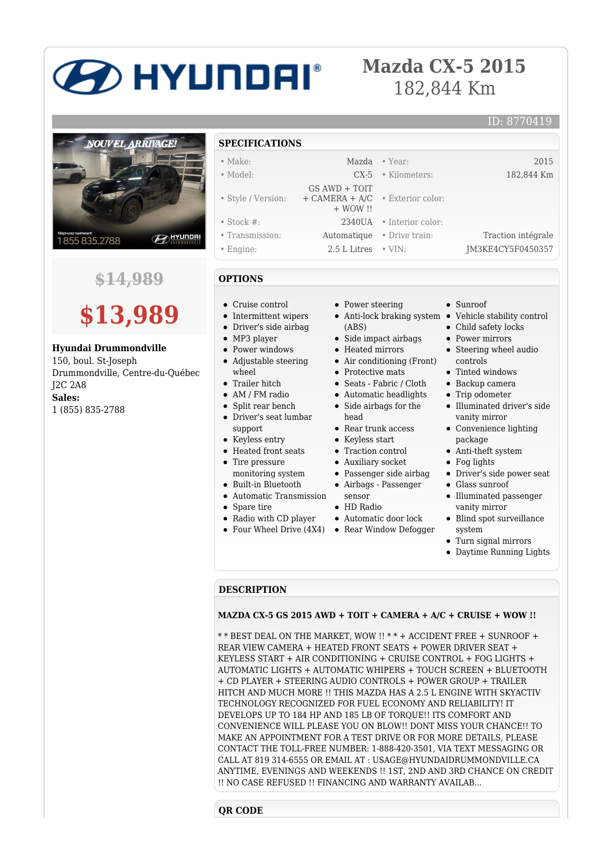# **2D HYUNDAI**®

### **Mazda CX-5 2015** 182,844 Km

## **NOUVEL ARRIVAGE! B**HYUNDAI 1855835.2788

**\$14,989**



**Hyundai Drummondville**

150, boul. St-Joseph Drummondville, Centre-du-Québec J2C 2A8 **Sales:** 1 (855) 835-2788

#### **SPECIFICATIONS**

| $\bullet$ Make:    |                                                          | Mazda • Year:              | 2015               |
|--------------------|----------------------------------------------------------|----------------------------|--------------------|
| • Model:           |                                                          | $CX-5$ • Kilometers:       | 182,844 Km         |
|                    | $GS$ AWD + TOIT                                          |                            |                    |
| • Style / Version: | $+$ CAMERA $+$ A/C $\cdot$ Exterior color:<br>$+$ WOW !! |                            |                    |
| $\bullet$ Stock #: |                                                          | $2340UA$ • Interior color: |                    |
| • Transmission:    |                                                          | Automatique • Drive train: | Traction intégrale |
| • Engine:          | $2.5$ L Litres $\cdot$ VIN:                              |                            | JM3KE4CY5F0450357  |

#### **OPTIONS**

- Cruise control
- Intermittent wipers
- Driver's side airbag
- MP3 player
- Power windows
- Adjustable steering wheel
- Trailer hitch
- AM / FM radio
- Split rear bench
- Driver's seat lumbar support
- Keyless entry
- Heated front seats • Tire pressure
- monitoring system
- Built-in Bluetooth
- 
- Automatic Transmission
- Spare tire
- Radio with CD player
- Four Wheel Drive (4X4) Rear Window Defogger
- Power steering
- (ABS)
- Side impact airbags
- Heated mirrors
- Air conditioning (Front)
- Protective mats
- Seats Fabric / Cloth
- Automatic headlights
- Side airbags for the head
- Rear trunk access
- Keyless start
- Traction control
- Auxiliary socket
- Passenger side airbag
- Airbags Passenger
- sensor
- HD Radio
- Automatic door lock
- 
- Sunroof
- Anti-lock braking system Vehicle stability control

ID: 8770419

- Child safety locks
- Power mirrors
- Steering wheel audio controls
- Tinted windows
- Backup camera
- Trip odometer
- Illuminated driver's side vanity mirror
- Convenience lighting package
- Anti-theft system
- Fog lights
- Driver's side power seat
- Glass sunroof
- Illuminated passenger vanity mirror
- Blind spot surveillance system
- Turn signal mirrors
- Daytime Running Lights

#### **DESCRIPTION**

#### **MAZDA CX-5 GS 2015 AWD + TOIT + CAMERA + A/C + CRUISE + WOW !!**

\* \* BEST DEAL ON THE MARKET, WOW !! \* \* + ACCIDENT FREE + SUNROOF + REAR VIEW CAMERA + HEATED FRONT SEATS + POWER DRIVER SEAT + KEYLESS START + AIR CONDITIONING + CRUISE CONTROL + FOG LIGHTS + AUTOMATIC LIGHTS + AUTOMATIC WHIPERS + TOUCH SCREEN + BLUETOOTH + CD PLAYER + STEERING AUDIO CONTROLS + POWER GROUP + TRAILER HITCH AND MUCH MORE !! THIS MAZDA HAS A 2.5 L ENGINE WITH SKYACTIV TECHNOLOGY RECOGNIZED FOR FUEL ECONOMY AND RELIABILITY! IT DEVELOPS UP TO 184 HP AND 185 LB OF TORQUE!! ITS COMFORT AND CONVENIENCE WILL PLEASE YOU ON BLOW!! DONT MISS YOUR CHANCE!! TO MAKE AN APPOINTMENT FOR A TEST DRIVE OR FOR MORE DETAILS, PLEASE CONTACT THE TOLL-FREE NUMBER: 1-888-420-3501, VIA TEXT MESSAGING OR CALL AT 819 314-6555 OR EMAIL AT : USAGE@HYUNDAIDRUMMONDVILLE.CA ANYTIME, EVENINGS AND WEEKENDS !! 1ST, 2ND AND 3RD CHANCE ON CREDIT !! NO CASE REFUSED !! FINANCING AND WARRANTY AVAILAB...

#### **QR CODE**